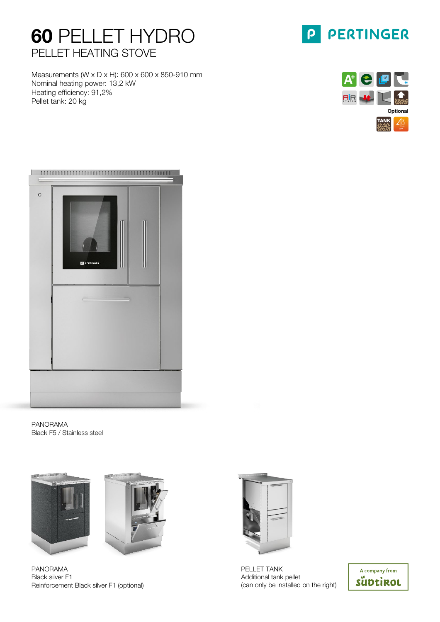# 60 PELLET HYDRO PELLET HEATING STOVE

Measurements (W x D x H): 600 x 600 x 850-910 mm Nominal heating power: 13,2 kW Heating efficiency: 91,2% Pellet tank: 20 kg





| $\circ$ | <b>P PERTINGER</b> |  |  |
|---------|--------------------|--|--|
|         | ≕                  |  |  |
|         |                    |  |  |

PANORAMA Black F5 / Stainless steel





PANORAMA Black silver F1 Reinforcement Black silver F1 (optional)



PELLET TANK Additional tank pellet (can only be installed on the right)